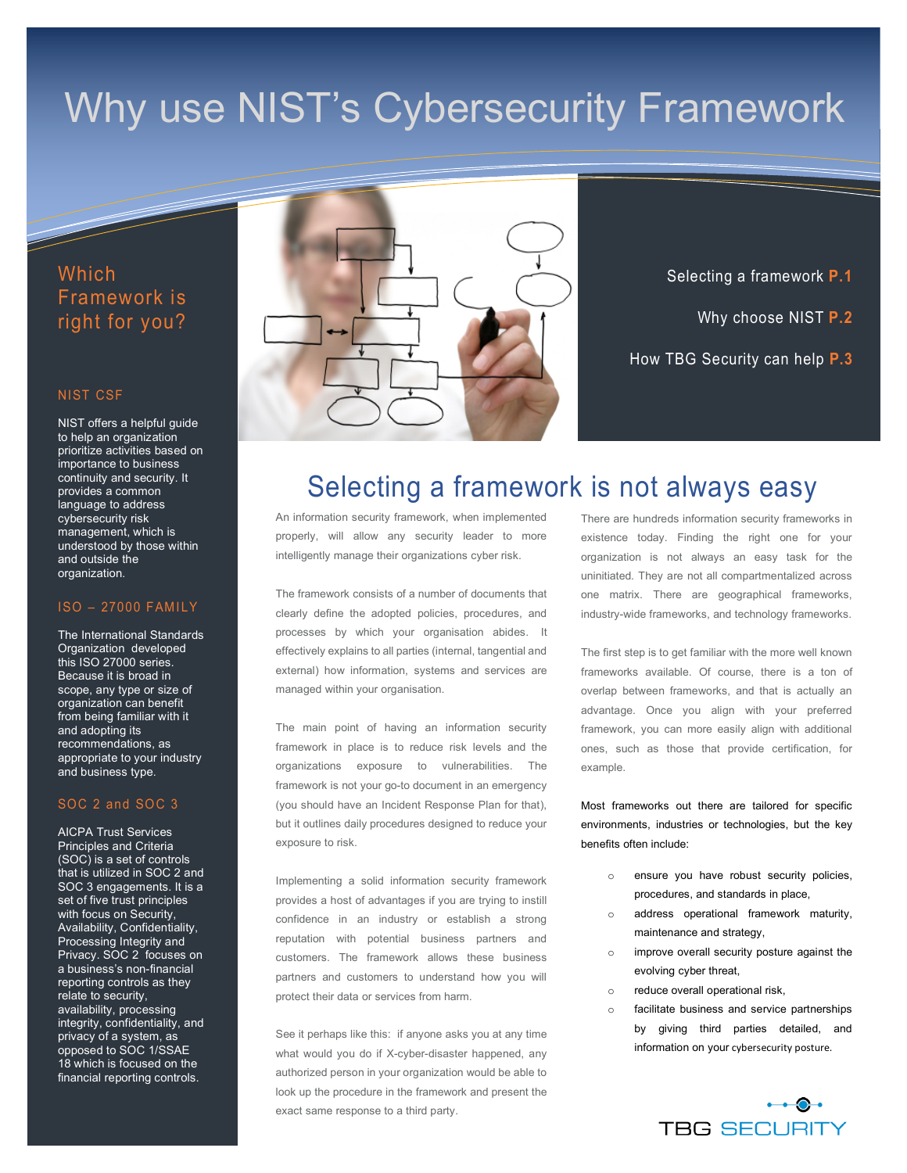# Why use NIST's Cybersecurity Framework

### Which Framework is right for you?

#### NIST CSF

NIST offers a helpful guide to help an organization prioritize activities based on importance to business continuity and security. It provides a common language to address cybersecurity risk management, which is understood by those within and outside the organization.

#### ISO – 27000 FAMILY

The International Standards Organization developed this ISO 27000 series. Because it is broad in scope, any type or size of organization can benefit from being familiar with it and adopting its recommendations, as appropriate to your industry and business type.

#### SOC 2 and SOC 3

AICPA Trust Services Principles and Criteria (SOC) is a set of controls that is utilized in SOC 2 and SOC 3 engagements. It is a set of five trust principles with focus on Security, Availability, Confidentiality, Processing Integrity and Privacy. SOC 2 focuses on a business's non-financial reporting controls as they relate to security, availability, processing integrity, confidentiality, and privacy of a system, as opposed to SOC 1/SSAE 18 which is focused on the financial reporting controls.



Selecting a framework **P.1** Why choose NIST **P.2** How TBG Security can help **P.3**

# Selecting a framework is not always easy

An information security framework, when implemented properly, will allow any security leader to more intelligently manage their organizations cyber risk.

The framework consists of a number of documents that clearly define the adopted policies, procedures, and processes by which your organisation abides. It effectively explains to all parties (internal, tangential and external) how information, systems and services are managed within your organisation.

The main point of having an information security framework in place is to reduce risk levels and the organizations exposure to vulnerabilities. The framework is not your go-to document in an emergency (you should have an Incident Response Plan for that), but it outlines daily procedures designed to reduce your exposure to risk.

Implementing a solid information security framework provides a host of advantages if you are trying to instill confidence in an industry or establish a strong reputation with potential business partners and customers. The framework allows these business partners and customers to understand how you will protect their data or services from harm.

See it perhaps like this: if anyone asks you at any time what would you do if X-cyber-disaster happened, any authorized person in your organization would be able to look up the procedure in the framework and present the exact same response to a third party.

There are hundreds information security frameworks in existence today. Finding the right one for your organization is not always an easy task for the uninitiated. They are not all compartmentalized across one matrix. There are geographical frameworks, industry-wide frameworks, and technology frameworks.

The first step is to get familiar with the more well known frameworks available. Of course, there is a ton of overlap between frameworks, and that is actually an advantage. Once you align with your preferred framework, you can more easily align with additional ones, such as those that provide certification, for example.

Most frameworks out there are tailored for specific environments, industries or technologies, but the key benefits often include:

- ensure you have robust security policies, procedures, and standards in place,
- address operational framework maturity, maintenance and strategy,
- improve overall security posture against the evolving cyber threat,
- o reduce overall operational risk,
- o facilitate business and service partnerships by giving third parties detailed, and information on your cybersecurity posture.

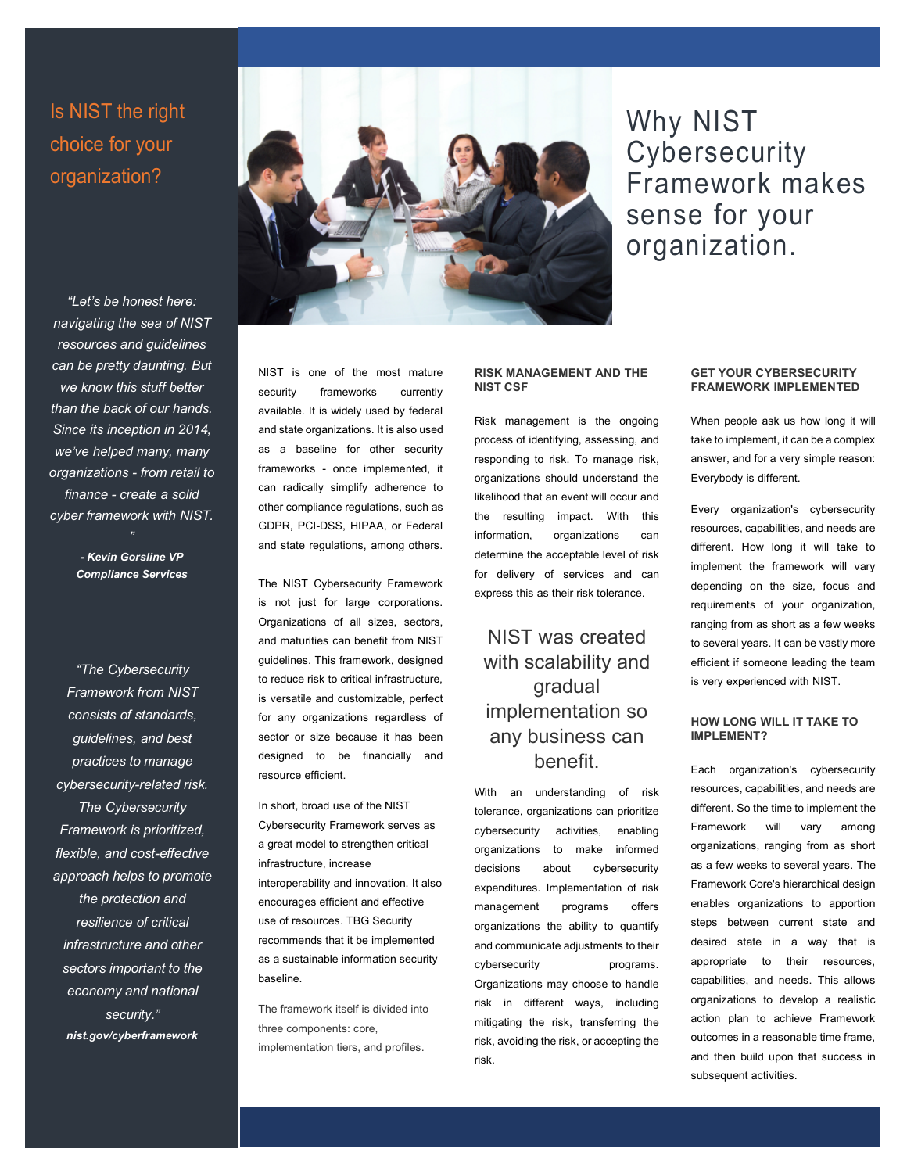## Is NIST the right choice for your organization?

*"Let's be honest here: navigating the sea of NIST resources and guidelines can be pretty daunting. But we know this stuff better than the back of our hands. Since its inception in 2014, we've helped many, many organizations - from retail to finance - create a solid cyber framework with NIST.* 

> *- Kevin Gorsline VP Compliance Services*

*"The Cybersecurity Framework from NIST consists of standards, guidelines, and best practices to manage cybersecurity-related risk. The Cybersecurity Framework is prioritized, flexible, and cost-effective approach helps to promote the protection and resilience of critical infrastructure and other sectors important to the economy and national security." nist.gov/cyberframework*

NIST is one of the most mature security frameworks currently available. It is widely used by federal and state organizations. It is also used as a baseline for other security frameworks - once implemented, it can radically simplify adherence to other compliance regulations, such as GDPR, PCI-DSS, HIPAA, or Federal and state regulations, among others.

The NIST Cybersecurity Framework is not just for large corporations. Organizations of all sizes, sectors, and maturities can benefit from NIST guidelines. This framework, designed to reduce risk to critical infrastructure, is versatile and customizable, perfect for any organizations regardless of sector or size because it has been designed to be financially and resource efficient.

In short, broad use of the NIST Cybersecurity Framework serves as a great model to strengthen critical infrastructure, increase interoperability and innovation. It also encourages efficient and effective use of resources. TBG Security recommends that it be implemented as a sustainable information security baseline.

The framework itself is divided into three components: core, implementation tiers, and profiles.

#### **RISK MANAGEMENT AND THE NIST CSF**

Risk management is the ongoing process of identifying, assessing, and responding to risk. To manage risk, organizations should understand the likelihood that an event will occur and the resulting impact. With this information, organizations can determine the acceptable level of risk for delivery of services and can express this as their risk tolerance.

### NIST was created with scalability and gradual implementation so any business can benefit.

With an understanding of risk tolerance, organizations can prioritize cybersecurity activities, enabling organizations to make informed decisions about cybersecurity expenditures. Implementation of risk management programs offers organizations the ability to quantify and communicate adjustments to their cybersecurity programs. Organizations may choose to handle risk in different ways, including mitigating the risk, transferring the risk, avoiding the risk, or accepting the risk.

Ratis neque ymo, venio illum pala

#### **GET YOUR CYBERSECURITY FRAMEWORK IMPLEMENTED**

When people ask us how long it will take to implement, it can be a complex answer, and for a very simple reason: Everybody is different.

Every organization's cybersecurity resources, capabilities, and needs are different. How long it will take to implement the framework will vary depending on the size, focus and requirements of your organization, ranging from as short as a few weeks to several years. It can be vastly more efficient if someone leading the team is very experienced with NIST.

#### **HOW LONG WILL IT TAKE TO IMPLEMENT?**

Each organization's cybersecurity resources, capabilities, and needs are different. So the time to implement the Framework will vary among organizations, ranging from as short as a few weeks to several years. The Framework Core's hierarchical design enables organizations to apportion steps between current state and desired state in a way that is appropriate to their resources, capabilities, and needs. This allows organizations to develop a realistic action plan to achieve Framework outcomes in a reasonable time frame, and then build upon that success in subsequent activities.